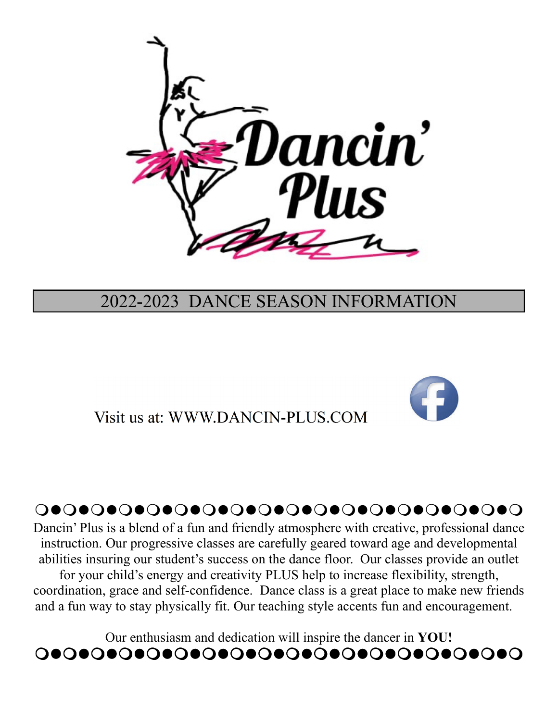

# 2022-2023 DANCE SEASON INFORMATION

Visit us at: WWW.DANCIN-PLUS.COM



# -----------------

Dancin' Plus is a blend of a fun and friendly atmosphere with creative, professional dance instruction. Our progressive classes are carefully geared toward age and developmental abilities insuring our student's success on the dance floor. Our classes provide an outlet for your child's energy and creativity PLUS help to increase flexibility, strength, coordination, grace and self-confidence. Dance class is a great place to make new friends and a fun way to stay physically fit. Our teaching style accents fun and encouragement.

Our enthusiasm and dedication will inspire the dancer in **YOU!** -----------------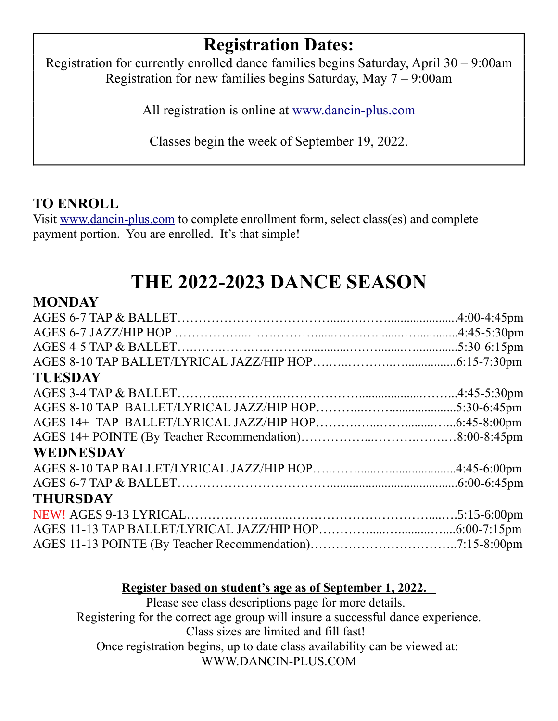# **Registration Dates:**

Registration for currently enrolled dance families begins Saturday, April 30 – 9:00am Registration for new families begins Saturday, May 7 – 9:00am

All registration is online at www.dancin-plus.com

Classes begin the week of September 19, 2022.

## **TO ENROLL**

Visit www.dancin-plus.com to complete enrollment form, select class(es) and complete payment portion. You are enrolled. It's that simple!

# **THE 2022-2023 DANCE SEASON**

#### **MONDAY**

| <b>TUESDAY</b>   |  |
|------------------|--|
|                  |  |
|                  |  |
|                  |  |
|                  |  |
| <b>WEDNESDAY</b> |  |
|                  |  |
|                  |  |
| <b>THURSDAY</b>  |  |
|                  |  |
|                  |  |
|                  |  |
|                  |  |

#### **Register based on student's age as of September 1, 2022.**

Please see class descriptions page for more details. Registering for the correct age group will insure a successful dance experience. Class sizes are limited and fill fast! Once registration begins, up to date class availability can be viewed at: WWW.DANCIN-PLUS.COM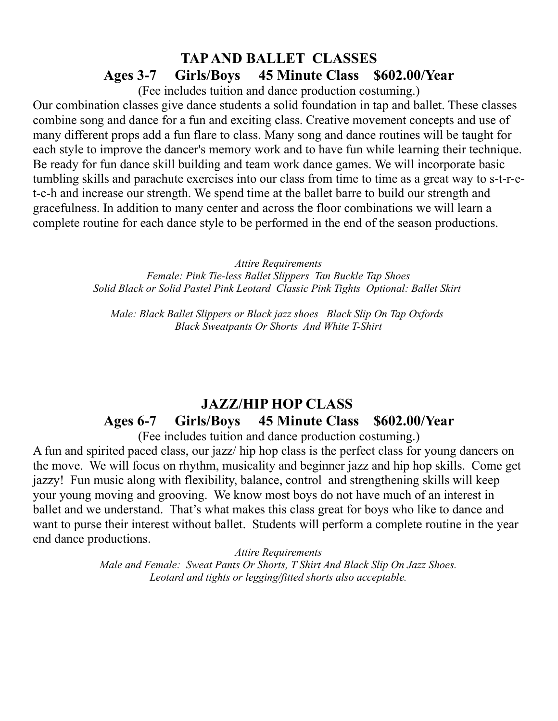### **TAP AND BALLET CLASSES Ages 3-7 Girls/Boys 45 Minute Class \$602.00/Year**

(Fee includes tuition and dance production costuming.)

Our combination classes give dance students a solid foundation in tap and ballet. These classes combine song and dance for a fun and exciting class. Creative movement concepts and use of many different props add a fun flare to class. Many song and dance routines will be taught for each style to improve the dancer's memory work and to have fun while learning their technique. Be ready for fun dance skill building and team work dance games. We will incorporate basic tumbling skills and parachute exercises into our class from time to time as a great way to s-t-r-et-c-h and increase our strength. We spend time at the ballet barre to build our strength and gracefulness. In addition to many center and across the floor combinations we will learn a complete routine for each dance style to be performed in the end of the season productions.

*Attire Requirements*

*Female: Pink Tie-less Ballet Slippers Tan Buckle Tap Shoes Solid Black or Solid Pastel Pink Leotard Classic Pink Tights Optional: Ballet Skirt* 

*Male: Black Ballet Slippers or Black jazz shoes Black Slip On Tap Oxfords Black Sweatpants Or Shorts And White T-Shirt*

# **JAZZ/HIP HOP CLASS Ages 6-7 Girls/Boys 45 Minute Class \$602.00/Year**

(Fee includes tuition and dance production costuming.)

A fun and spirited paced class, our jazz/ hip hop class is the perfect class for young dancers on the move. We will focus on rhythm, musicality and beginner jazz and hip hop skills. Come get jazzy! Fun music along with flexibility, balance, control and strengthening skills will keep your young moving and grooving. We know most boys do not have much of an interest in ballet and we understand. That's what makes this class great for boys who like to dance and want to purse their interest without ballet. Students will perform a complete routine in the year end dance productions.

*Attire Requirements*

*Male and Female: Sweat Pants Or Shorts, T Shirt And Black Slip On Jazz Shoes. Leotard and tights or legging/fitted shorts also acceptable.*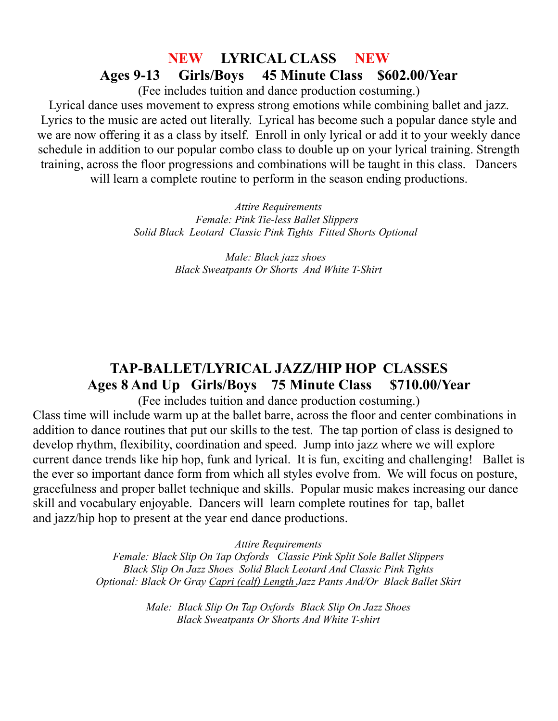#### **NEW LYRICAL CLASS NEW Ages 9-13 Girls/Boys 45 Minute Class \$602.00/Year**

(Fee includes tuition and dance production costuming.)

Lyrical dance uses movement to express strong emotions while combining ballet and jazz. Lyrics to the music are acted out literally. Lyrical has become such a popular dance style and we are now offering it as a class by itself. Enroll in only lyrical or add it to your weekly dance schedule in addition to our popular combo class to double up on your lyrical training. Strength training, across the floor progressions and combinations will be taught in this class. Dancers

will learn a complete routine to perform in the season ending productions.

*Attire Requirements Female: Pink Tie-less Ballet Slippers Solid Black Leotard Classic Pink Tights Fitted Shorts Optional* 

> *Male: Black jazz shoes Black Sweatpants Or Shorts And White T-Shirt*

## **TAP-BALLET/LYRICAL JAZZ/HIP HOP CLASSES Ages 8 And Up Girls/Boys 75 Minute Class \$710.00/Year**

(Fee includes tuition and dance production costuming.)

Class time will include warm up at the ballet barre, across the floor and center combinations in addition to dance routines that put our skills to the test. The tap portion of class is designed to develop rhythm, flexibility, coordination and speed. Jump into jazz where we will explore current dance trends like hip hop, funk and lyrical. It is fun, exciting and challenging! Ballet is the ever so important dance form from which all styles evolve from. We will focus on posture, gracefulness and proper ballet technique and skills. Popular music makes increasing our dance skill and vocabulary enjoyable. Dancers will learn complete routines for tap, ballet and jazz/hip hop to present at the year end dance productions.

*Attire Requirements*

*Female: Black Slip On Tap Oxfords Classic Pink Split Sole Ballet Slippers Black Slip On Jazz Shoes Solid Black Leotard And Classic Pink Tights Optional: Black Or Gray Capri (calf) Length Jazz Pants And/Or Black Ballet Skirt*

> *Male: Black Slip On Tap Oxfords Black Slip On Jazz Shoes Black Sweatpants Or Shorts And White T-shirt*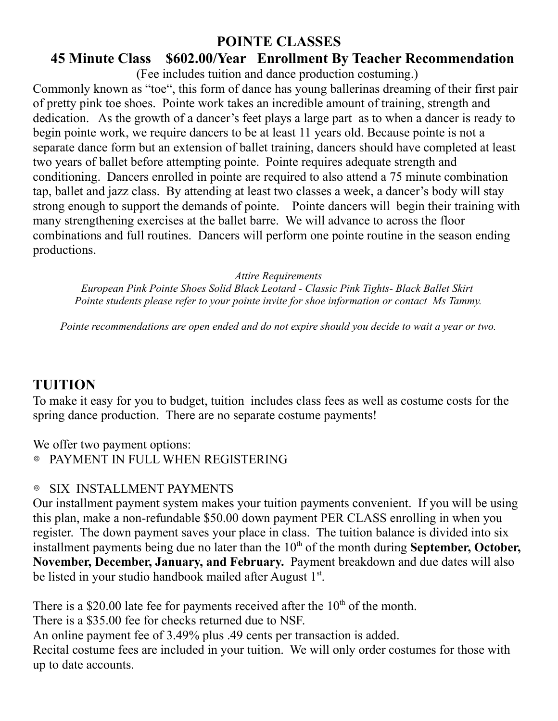#### **POINTE CLASSES**

#### **45 Minute Class \$602.00/Year Enrollment By Teacher Recommendation**

(Fee includes tuition and dance production costuming.)

Commonly known as "toe", this form of dance has young ballerinas dreaming of their first pair of pretty pink toe shoes. Pointe work takes an incredible amount of training, strength and dedication. As the growth of a dancer's feet plays a large part as to when a dancer is ready to begin pointe work, we require dancers to be at least 11 years old. Because pointe is not a separate dance form but an extension of ballet training, dancers should have completed at least two years of ballet before attempting pointe. Pointe requires adequate strength and conditioning. Dancers enrolled in pointe are required to also attend a 75 minute combination tap, ballet and jazz class. By attending at least two classes a week, a dancer's body will stay strong enough to support the demands of pointe. Pointe dancers will begin their training with many strengthening exercises at the ballet barre. We will advance to across the floor combinations and full routines. Dancers will perform one pointe routine in the season ending productions.

*Attire Requirements*

*European Pink Pointe Shoes Solid Black Leotard - Classic Pink Tights- Black Ballet Skirt Pointe students please refer to your pointe invite for shoe information or contact Ms Tammy.*

*Pointe recommendations are open ended and do not expire should you decide to wait a year or two.*

#### **TUITION**

To make it easy for you to budget, tuition includes class fees as well as costume costs for the spring dance production. There are no separate costume payments!

We offer two payment options:

PAYMENT IN FULL WHEN REGISTERING

#### ◎ SIX INSTALLMENT PAYMENTS

Our installment payment system makes your tuition payments convenient. If you will be using this plan, make a non-refundable \$50.00 down payment PER CLASS enrolling in when you register. The down payment saves your place in class. The tuition balance is divided into six installment payments being due no later than the 10<sup>th</sup> of the month during **September, October, November, December, January, and February.** Payment breakdown and due dates will also be listed in your studio handbook mailed after August 1st.

There is a \$20.00 late fee for payments received after the  $10<sup>th</sup>$  of the month. There is a \$35.00 fee for checks returned due to NSF. An online payment fee of 3.49% plus .49 cents per transaction is added. Recital costume fees are included in your tuition. We will only order costumes for those with up to date accounts.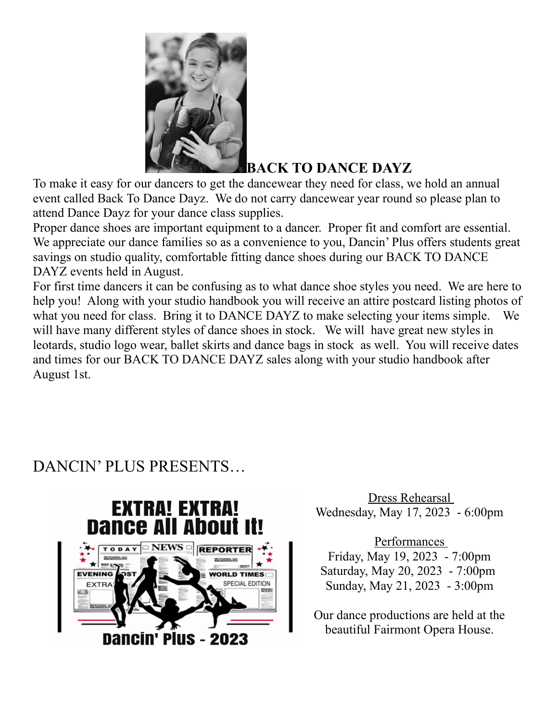

## **BACK TO DANCE DAYZ**

To make it easy for our dancers to get the dancewear they need for class, we hold an annual event called Back To Dance Dayz. We do not carry dancewear year round so please plan to attend Dance Dayz for your dance class supplies.

Proper dance shoes are important equipment to a dancer. Proper fit and comfort are essential. We appreciate our dance families so as a convenience to you, Dancin' Plus offers students great savings on studio quality, comfortable fitting dance shoes during our BACK TO DANCE DAYZ events held in August.

For first time dancers it can be confusing as to what dance shoe styles you need. We are here to help you! Along with your studio handbook you will receive an attire postcard listing photos of what you need for class. Bring it to DANCE DAYZ to make selecting your items simple. We will have many different styles of dance shoes in stock. We will have great new styles in leotards, studio logo wear, ballet skirts and dance bags in stock as well. You will receive dates and times for our BACK TO DANCE DAYZ sales along with your studio handbook after August 1st.

# DANCIN' PLUS PRESENTS…



Dress Rehearsal Wednesday, May 17, 2023 - 6:00pm

Performances Friday, May 19, 2023 - 7:00pm Saturday, May 20, 2023 - 7:00pm Sunday, May 21, 2023 - 3:00pm

Our dance productions are held at the beautiful Fairmont Opera House.